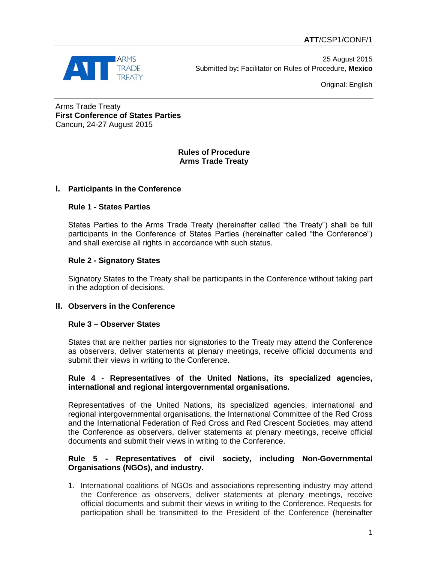

25 August 2015 Submitted by**:** Facilitator on Rules of Procedure, **Mexico**

Original: English

Arms Trade Treaty **First Conference of States Parties** Cancun, 24-27 August 2015

# **Rules of Procedure Arms Trade Treaty**

# **I. Participants in the Conference**

# **Rule 1 - States Parties**

States Parties to the Arms Trade Treaty (hereinafter called "the Treaty") shall be full participants in the Conference of States Parties (hereinafter called "the Conference") and shall exercise all rights in accordance with such status.

### **Rule 2 - Signatory States**

Signatory States to the Treaty shall be participants in the Conference without taking part in the adoption of decisions.

# **II. Observers in the Conference**

#### **Rule 3 – Observer States**

States that are neither parties nor signatories to the Treaty may attend the Conference as observers, deliver statements at plenary meetings, receive official documents and submit their views in writing to the Conference.

### **Rule 4 - Representatives of the United Nations, its specialized agencies, international and regional intergovernmental organisations.**

Representatives of the United Nations, its specialized agencies, international and regional intergovernmental organisations, the International Committee of the Red Cross and the International Federation of Red Cross and Red Crescent Societies, may attend the Conference as observers, deliver statements at plenary meetings, receive official documents and submit their views in writing to the Conference.

# **Rule 5 - Representatives of civil society, including Non-Governmental Organisations (NGOs), and industry.**

1. International coalitions of NGOs and associations representing industry may attend the Conference as observers, deliver statements at plenary meetings, receive official documents and submit their views in writing to the Conference. Requests for participation shall be transmitted to the President of the Conference (hereinafter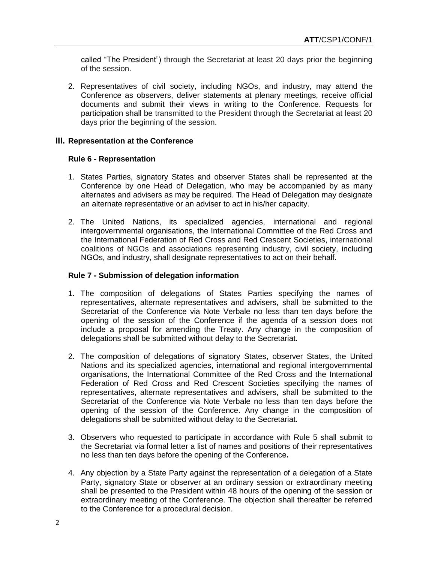called "The President") through the Secretariat at least 20 days prior the beginning of the session.

2. Representatives of civil society, including NGOs, and industry, may attend the Conference as observers, deliver statements at plenary meetings, receive official documents and submit their views in writing to the Conference. Requests for participation shall be transmitted to the President through the Secretariat at least 20 days prior the beginning of the session.

### **III. Representation at the Conference**

### **Rule 6 - Representation**

- 1. States Parties, signatory States and observer States shall be represented at the Conference by one Head of Delegation, who may be accompanied by as many alternates and advisers as may be required. The Head of Delegation may designate an alternate representative or an adviser to act in his/her capacity.
- 2. The United Nations, its specialized agencies, international and regional intergovernmental organisations, the International Committee of the Red Cross and the International Federation of Red Cross and Red Crescent Societies, international coalitions of NGOs and associations representing industry, civil society, including NGOs, and industry, shall designate representatives to act on their behalf.

### **Rule 7 - Submission of delegation information**

- 1. The composition of delegations of States Parties specifying the names of representatives, alternate representatives and advisers, shall be submitted to the Secretariat of the Conference via Note Verbale no less than ten days before the opening of the session of the Conference if the agenda of a session does not include a proposal for amending the Treaty. Any change in the composition of delegations shall be submitted without delay to the Secretariat.
- 2. The composition of delegations of signatory States, observer States, the United Nations and its specialized agencies, international and regional intergovernmental organisations, the International Committee of the Red Cross and the International Federation of Red Cross and Red Crescent Societies specifying the names of representatives, alternate representatives and advisers, shall be submitted to the Secretariat of the Conference via Note Verbale no less than ten days before the opening of the session of the Conference. Any change in the composition of delegations shall be submitted without delay to the Secretariat.
- 3. Observers who requested to participate in accordance with Rule 5 shall submit to the Secretariat via formal letter a list of names and positions of their representatives no less than ten days before the opening of the Conference**.**
- 4. Any objection by a State Party against the representation of a delegation of a State Party, signatory State or observer at an ordinary session or extraordinary meeting shall be presented to the President within 48 hours of the opening of the session or extraordinary meeting of the Conference. The objection shall thereafter be referred to the Conference for a procedural decision.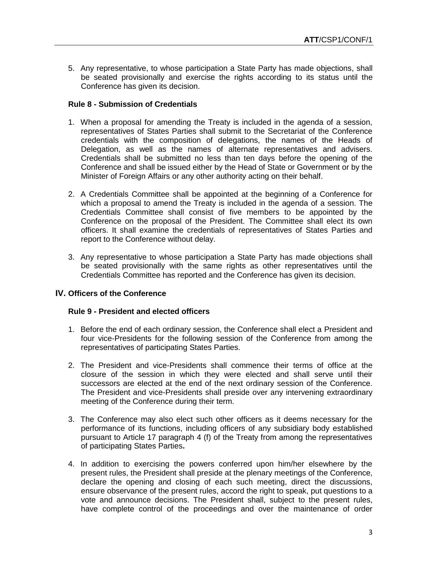5. Any representative, to whose participation a State Party has made objections, shall be seated provisionally and exercise the rights according to its status until the Conference has given its decision.

## **Rule 8 - Submission of Credentials**

- 1. When a proposal for amending the Treaty is included in the agenda of a session, representatives of States Parties shall submit to the Secretariat of the Conference credentials with the composition of delegations, the names of the Heads of Delegation, as well as the names of alternate representatives and advisers. Credentials shall be submitted no less than ten days before the opening of the Conference and shall be issued either by the Head of State or Government or by the Minister of Foreign Affairs or any other authority acting on their behalf.
- 2. A Credentials Committee shall be appointed at the beginning of a Conference for which a proposal to amend the Treaty is included in the agenda of a session. The Credentials Committee shall consist of five members to be appointed by the Conference on the proposal of the President. The Committee shall elect its own officers. It shall examine the credentials of representatives of States Parties and report to the Conference without delay.
- 3. Any representative to whose participation a State Party has made objections shall be seated provisionally with the same rights as other representatives until the Credentials Committee has reported and the Conference has given its decision.

#### **IV. Officers of the Conference**

#### **Rule 9 - President and elected officers**

- 1. Before the end of each ordinary session, the Conference shall elect a President and four vice-Presidents for the following session of the Conference from among the representatives of participating States Parties.
- 2. The President and vice-Presidents shall commence their terms of office at the closure of the session in which they were elected and shall serve until their successors are elected at the end of the next ordinary session of the Conference. The President and vice-Presidents shall preside over any intervening extraordinary meeting of the Conference during their term.
- 3. The Conference may also elect such other officers as it deems necessary for the performance of its functions, including officers of any subsidiary body established pursuant to Article 17 paragraph 4 (f) of the Treaty from among the representatives of participating States Parties**.**
- 4. In addition to exercising the powers conferred upon him/her elsewhere by the present rules, the President shall preside at the plenary meetings of the Conference, declare the opening and closing of each such meeting, direct the discussions, ensure observance of the present rules, accord the right to speak, put questions to a vote and announce decisions. The President shall, subject to the present rules, have complete control of the proceedings and over the maintenance of order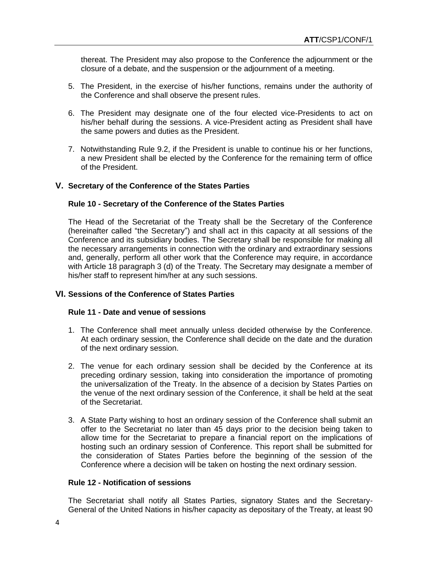thereat. The President may also propose to the Conference the adjournment or the closure of a debate, and the suspension or the adjournment of a meeting.

- 5. The President, in the exercise of his/her functions, remains under the authority of the Conference and shall observe the present rules.
- 6. The President may designate one of the four elected vice-Presidents to act on his/her behalf during the sessions. A vice-President acting as President shall have the same powers and duties as the President.
- 7. Notwithstanding Rule 9.2, if the President is unable to continue his or her functions, a new President shall be elected by the Conference for the remaining term of office of the President.

#### **V. Secretary of the Conference of the States Parties**

#### **Rule 10 - Secretary of the Conference of the States Parties**

The Head of the Secretariat of the Treaty shall be the Secretary of the Conference (hereinafter called "the Secretary") and shall act in this capacity at all sessions of the Conference and its subsidiary bodies. The Secretary shall be responsible for making all the necessary arrangements in connection with the ordinary and extraordinary sessions and, generally, perform all other work that the Conference may require, in accordance with Article 18 paragraph 3 (d) of the Treaty. The Secretary may designate a member of his/her staff to represent him/her at any such sessions.

#### **VI. Sessions of the Conference of States Parties**

#### **Rule 11 - Date and venue of sessions**

- 1. The Conference shall meet annually unless decided otherwise by the Conference. At each ordinary session, the Conference shall decide on the date and the duration of the next ordinary session.
- 2. The venue for each ordinary session shall be decided by the Conference at its preceding ordinary session, taking into consideration the importance of promoting the universalization of the Treaty. In the absence of a decision by States Parties on the venue of the next ordinary session of the Conference, it shall be held at the seat of the Secretariat.
- 3. A State Party wishing to host an ordinary session of the Conference shall submit an offer to the Secretariat no later than 45 days prior to the decision being taken to allow time for the Secretariat to prepare a financial report on the implications of hosting such an ordinary session of Conference. This report shall be submitted for the consideration of States Parties before the beginning of the session of the Conference where a decision will be taken on hosting the next ordinary session.

# **Rule 12 - Notification of sessions**

The Secretariat shall notify all States Parties, signatory States and the Secretary-General of the United Nations in his/her capacity as depositary of the Treaty, at least 90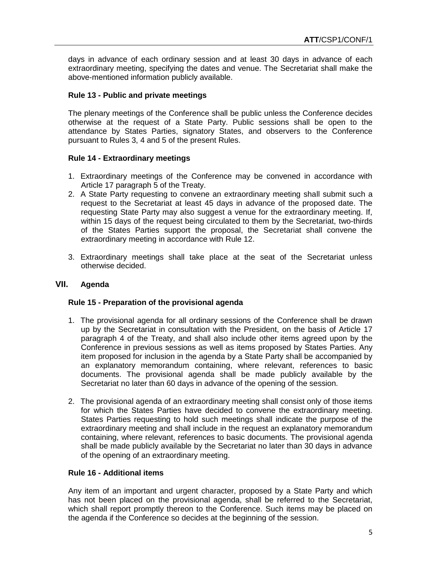days in advance of each ordinary session and at least 30 days in advance of each extraordinary meeting, specifying the dates and venue. The Secretariat shall make the above-mentioned information publicly available.

# **Rule 13 - Public and private meetings**

The plenary meetings of the Conference shall be public unless the Conference decides otherwise at the request of a State Party. Public sessions shall be open to the attendance by States Parties, signatory States, and observers to the Conference pursuant to Rules 3, 4 and 5 of the present Rules.

# **Rule 14 - Extraordinary meetings**

- 1. Extraordinary meetings of the Conference may be convened in accordance with Article 17 paragraph 5 of the Treaty.
- 2. A State Party requesting to convene an extraordinary meeting shall submit such a request to the Secretariat at least 45 days in advance of the proposed date. The requesting State Party may also suggest a venue for the extraordinary meeting. If, within 15 days of the request being circulated to them by the Secretariat, two-thirds of the States Parties support the proposal, the Secretariat shall convene the extraordinary meeting in accordance with Rule 12.
- 3. Extraordinary meetings shall take place at the seat of the Secretariat unless otherwise decided.

# **VII. Agenda**

# **Rule 15 - Preparation of the provisional agenda**

- 1. The provisional agenda for all ordinary sessions of the Conference shall be drawn up by the Secretariat in consultation with the President, on the basis of Article 17 paragraph 4 of the Treaty, and shall also include other items agreed upon by the Conference in previous sessions as well as items proposed by States Parties. Any item proposed for inclusion in the agenda by a State Party shall be accompanied by an explanatory memorandum containing, where relevant, references to basic documents. The provisional agenda shall be made publicly available by the Secretariat no later than 60 days in advance of the opening of the session.
- 2. The provisional agenda of an extraordinary meeting shall consist only of those items for which the States Parties have decided to convene the extraordinary meeting. States Parties requesting to hold such meetings shall indicate the purpose of the extraordinary meeting and shall include in the request an explanatory memorandum containing, where relevant, references to basic documents. The provisional agenda shall be made publicly available by the Secretariat no later than 30 days in advance of the opening of an extraordinary meeting.

# **Rule 16 - Additional items**

Any item of an important and urgent character, proposed by a State Party and which has not been placed on the provisional agenda, shall be referred to the Secretariat, which shall report promptly thereon to the Conference. Such items may be placed on the agenda if the Conference so decides at the beginning of the session.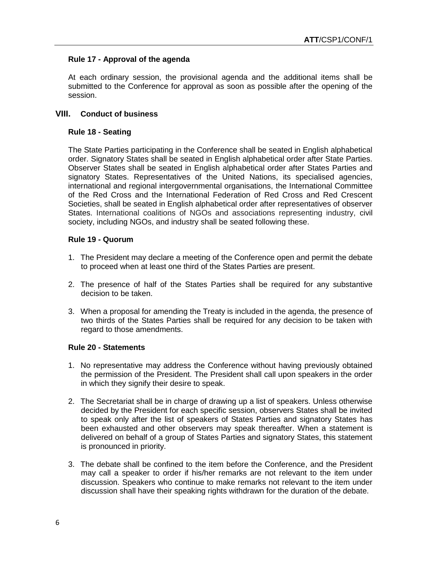# **Rule 17 - Approval of the agenda**

At each ordinary session, the provisional agenda and the additional items shall be submitted to the Conference for approval as soon as possible after the opening of the session.

### **VIII. Conduct of business**

### **Rule 18 - Seating**

The State Parties participating in the Conference shall be seated in English alphabetical order. Signatory States shall be seated in English alphabetical order after State Parties. Observer States shall be seated in English alphabetical order after States Parties and signatory States. Representatives of the United Nations, its specialised agencies, international and regional intergovernmental organisations, the International Committee of the Red Cross and the International Federation of Red Cross and Red Crescent Societies, shall be seated in English alphabetical order after representatives of observer States. International coalitions of NGOs and associations representing industry, civil society, including NGOs, and industry shall be seated following these.

### **Rule 19 - Quorum**

- 1. The President may declare a meeting of the Conference open and permit the debate to proceed when at least one third of the States Parties are present.
- 2. The presence of half of the States Parties shall be required for any substantive decision to be taken.
- 3. When a proposal for amending the Treaty is included in the agenda, the presence of two thirds of the States Parties shall be required for any decision to be taken with regard to those amendments.

### **Rule 20 - Statements**

- 1. No representative may address the Conference without having previously obtained the permission of the President. The President shall call upon speakers in the order in which they signify their desire to speak.
- 2. The Secretariat shall be in charge of drawing up a list of speakers. Unless otherwise decided by the President for each specific session, observers States shall be invited to speak only after the list of speakers of States Parties and signatory States has been exhausted and other observers may speak thereafter. When a statement is delivered on behalf of a group of States Parties and signatory States, this statement is pronounced in priority.
- 3. The debate shall be confined to the item before the Conference, and the President may call a speaker to order if his/her remarks are not relevant to the item under discussion. Speakers who continue to make remarks not relevant to the item under discussion shall have their speaking rights withdrawn for the duration of the debate.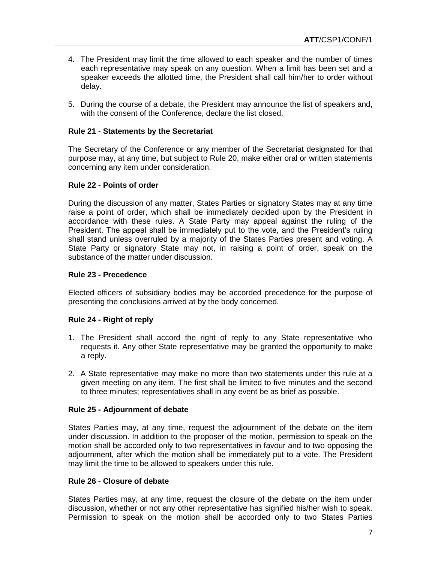- 4. The President may limit the time allowed to each speaker and the number of times each representative may speak on any question. When a limit has been set and a speaker exceeds the allotted time, the President shall call him/her to order without delay.
- 5. During the course of a debate, the President may announce the list of speakers and, with the consent of the Conference, declare the list closed.

# **Rule 21 - Statements by the Secretariat**

The Secretary of the Conference or any member of the Secretariat designated for that purpose may, at any time, but subject to Rule 20, make either oral or written statements concerning any item under consideration.

### **Rule 22 - Points of order**

During the discussion of any matter, States Parties or signatory States may at any time raise a point of order, which shall be immediately decided upon by the President in accordance with these rules. A State Party may appeal against the ruling of the President. The appeal shall be immediately put to the vote, and the President's ruling shall stand unless overruled by a majority of the States Parties present and voting. A State Party or signatory State may not, in raising a point of order, speak on the substance of the matter under discussion.

### **Rule 23 - Precedence**

Elected officers of subsidiary bodies may be accorded precedence for the purpose of presenting the conclusions arrived at by the body concerned.

# **Rule 24 - Right of reply**

- 1. The President shall accord the right of reply to any State representative who requests it. Any other State representative may be granted the opportunity to make a reply.
- 2. A State representative may make no more than two statements under this rule at a given meeting on any item. The first shall be limited to five minutes and the second to three minutes; representatives shall in any event be as brief as possible.

# **Rule 25 - Adjournment of debate**

States Parties may, at any time, request the adjournment of the debate on the item under discussion. In addition to the proposer of the motion, permission to speak on the motion shall be accorded only to two representatives in favour and to two opposing the adjournment, after which the motion shall be immediately put to a vote. The President may limit the time to be allowed to speakers under this rule.

### **Rule 26 - Closure of debate**

States Parties may, at any time, request the closure of the debate on the item under discussion, whether or not any other representative has signified his/her wish to speak. Permission to speak on the motion shall be accorded only to two States Parties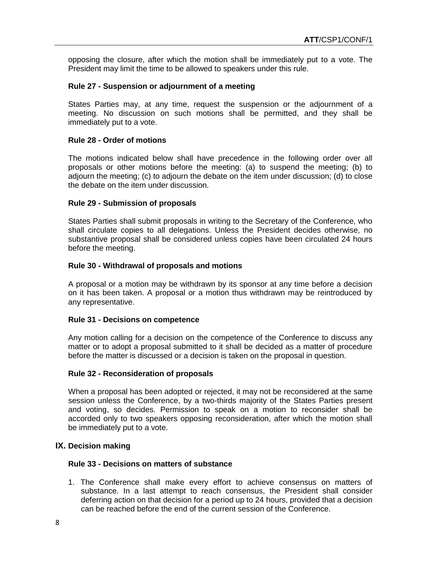opposing the closure, after which the motion shall be immediately put to a vote. The President may limit the time to be allowed to speakers under this rule.

### **Rule 27 - Suspension or adjournment of a meeting**

States Parties may, at any time, request the suspension or the adjournment of a meeting. No discussion on such motions shall be permitted, and they shall be immediately put to a vote.

### **Rule 28 - Order of motions**

The motions indicated below shall have precedence in the following order over all proposals or other motions before the meeting: (a) to suspend the meeting; (b) to adjourn the meeting; (c) to adjourn the debate on the item under discussion; (d) to close the debate on the item under discussion.

### **Rule 29 - Submission of proposals**

States Parties shall submit proposals in writing to the Secretary of the Conference, who shall circulate copies to all delegations. Unless the President decides otherwise, no substantive proposal shall be considered unless copies have been circulated 24 hours before the meeting.

### **Rule 30 - Withdrawal of proposals and motions**

A proposal or a motion may be withdrawn by its sponsor at any time before a decision on it has been taken. A proposal or a motion thus withdrawn may be reintroduced by any representative.

#### **Rule 31 - Decisions on competence**

Any motion calling for a decision on the competence of the Conference to discuss any matter or to adopt a proposal submitted to it shall be decided as a matter of procedure before the matter is discussed or a decision is taken on the proposal in question.

#### **Rule 32 - Reconsideration of proposals**

When a proposal has been adopted or rejected, it may not be reconsidered at the same session unless the Conference, by a two-thirds majority of the States Parties present and voting, so decides. Permission to speak on a motion to reconsider shall be accorded only to two speakers opposing reconsideration, after which the motion shall be immediately put to a vote.

#### **IX. Decision making**

#### **Rule 33 - Decisions on matters of substance**

1. The Conference shall make every effort to achieve consensus on matters of substance. In a last attempt to reach consensus, the President shall consider deferring action on that decision for a period up to 24 hours, provided that a decision can be reached before the end of the current session of the Conference.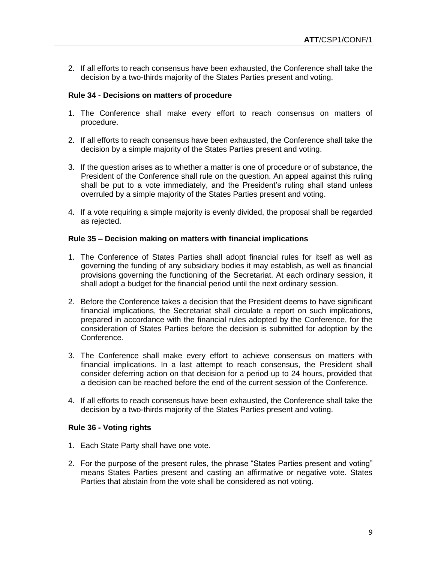2. If all efforts to reach consensus have been exhausted, the Conference shall take the decision by a two-thirds majority of the States Parties present and voting.

### **Rule 34 - Decisions on matters of procedure**

- 1. The Conference shall make every effort to reach consensus on matters of procedure.
- 2. If all efforts to reach consensus have been exhausted, the Conference shall take the decision by a simple majority of the States Parties present and voting.
- 3. If the question arises as to whether a matter is one of procedure or of substance, the President of the Conference shall rule on the question. An appeal against this ruling shall be put to a vote immediately, and the President's ruling shall stand unless overruled by a simple majority of the States Parties present and voting.
- 4. If a vote requiring a simple majority is evenly divided, the proposal shall be regarded as rejected.

#### **Rule 35 – Decision making on matters with financial implications**

- 1. The Conference of States Parties shall adopt financial rules for itself as well as governing the funding of any subsidiary bodies it may establish, as well as financial provisions governing the functioning of the Secretariat. At each ordinary session, it shall adopt a budget for the financial period until the next ordinary session.
- 2. Before the Conference takes a decision that the President deems to have significant financial implications, the Secretariat shall circulate a report on such implications, prepared in accordance with the financial rules adopted by the Conference, for the consideration of States Parties before the decision is submitted for adoption by the Conference.
- 3. The Conference shall make every effort to achieve consensus on matters with financial implications. In a last attempt to reach consensus, the President shall consider deferring action on that decision for a period up to 24 hours, provided that a decision can be reached before the end of the current session of the Conference.
- 4. If all efforts to reach consensus have been exhausted, the Conference shall take the decision by a two-thirds majority of the States Parties present and voting.

#### **Rule 36 - Voting rights**

- 1. Each State Party shall have one vote.
- 2. For the purpose of the present rules, the phrase "States Parties present and voting" means States Parties present and casting an affirmative or negative vote. States Parties that abstain from the vote shall be considered as not voting.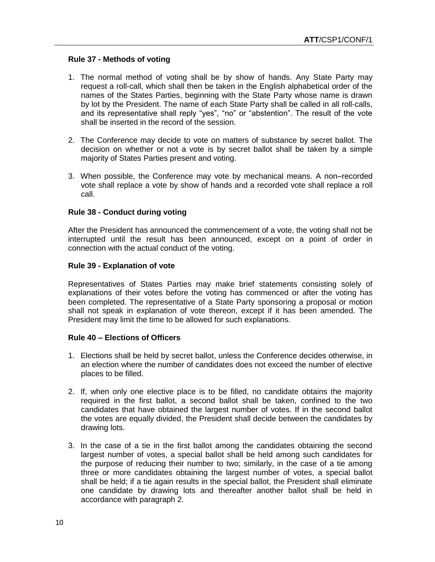### **Rule 37 - Methods of voting**

- 1. The normal method of voting shall be by show of hands. Any State Party may request a roll-call, which shall then be taken in the English alphabetical order of the names of the States Parties, beginning with the State Party whose name is drawn by lot by the President. The name of each State Party shall be called in all roll-calls, and its representative shall reply "yes", "no" or "abstention". The result of the vote shall be inserted in the record of the session.
- 2. The Conference may decide to vote on matters of substance by secret ballot. The decision on whether or not a vote is by secret ballot shall be taken by a simple majority of States Parties present and voting.
- 3. When possible, the Conference may vote by mechanical means. A non–recorded vote shall replace a vote by show of hands and a recorded vote shall replace a roll call.

### **Rule 38 - Conduct during voting**

After the President has announced the commencement of a vote, the voting shall not be interrupted until the result has been announced, except on a point of order in connection with the actual conduct of the voting.

### **Rule 39 - Explanation of vote**

Representatives of States Parties may make brief statements consisting solely of explanations of their votes before the voting has commenced or after the voting has been completed. The representative of a State Party sponsoring a proposal or motion shall not speak in explanation of vote thereon, except if it has been amended. The President may limit the time to be allowed for such explanations.

# **Rule 40 – Elections of Officers**

- 1. Elections shall be held by secret ballot, unless the Conference decides otherwise, in an election where the number of candidates does not exceed the number of elective places to be filled.
- 2. If, when only one elective place is to be filled, no candidate obtains the majority required in the first ballot, a second ballot shall be taken, confined to the two candidates that have obtained the largest number of votes. If in the second ballot the votes are equally divided, the President shall decide between the candidates by drawing lots.
- 3. In the case of a tie in the first ballot among the candidates obtaining the second largest number of votes, a special ballot shall be held among such candidates for the purpose of reducing their number to two; similarly, in the case of a tie among three or more candidates obtaining the largest number of votes, a special ballot shall be held; if a tie again results in the special ballot, the President shall eliminate one candidate by drawing lots and thereafter another ballot shall be held in accordance with paragraph 2.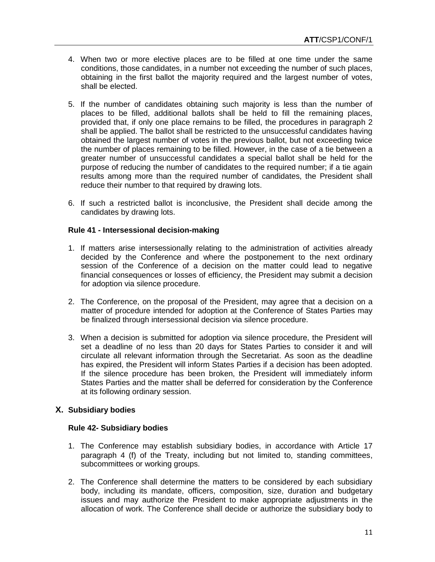- 4. When two or more elective places are to be filled at one time under the same conditions, those candidates, in a number not exceeding the number of such places, obtaining in the first ballot the majority required and the largest number of votes, shall be elected.
- 5. If the number of candidates obtaining such majority is less than the number of places to be filled, additional ballots shall be held to fill the remaining places, provided that, if only one place remains to be filled, the procedures in paragraph 2 shall be applied. The ballot shall be restricted to the unsuccessful candidates having obtained the largest number of votes in the previous ballot, but not exceeding twice the number of places remaining to be filled. However, in the case of a tie between a greater number of unsuccessful candidates a special ballot shall be held for the purpose of reducing the number of candidates to the required number; if a tie again results among more than the required number of candidates, the President shall reduce their number to that required by drawing lots.
- 6. If such a restricted ballot is inconclusive, the President shall decide among the candidates by drawing lots.

# **Rule 41 - Intersessional decision-making**

- 1. If matters arise intersessionally relating to the administration of activities already decided by the Conference and where the postponement to the next ordinary session of the Conference of a decision on the matter could lead to negative financial consequences or losses of efficiency, the President may submit a decision for adoption via silence procedure.
- 2. The Conference, on the proposal of the President, may agree that a decision on a matter of procedure intended for adoption at the Conference of States Parties may be finalized through intersessional decision via silence procedure.
- 3. When a decision is submitted for adoption via silence procedure, the President will set a deadline of no less than 20 days for States Parties to consider it and will circulate all relevant information through the Secretariat. As soon as the deadline has expired, the President will inform States Parties if a decision has been adopted. If the silence procedure has been broken, the President will immediately inform States Parties and the matter shall be deferred for consideration by the Conference at its following ordinary session.

# **X. Subsidiary bodies**

#### **Rule 42- Subsidiary bodies**

- 1. The Conference may establish subsidiary bodies, in accordance with Article 17 paragraph 4 (f) of the Treaty, including but not limited to, standing committees, subcommittees or working groups.
- 2. The Conference shall determine the matters to be considered by each subsidiary body, including its mandate, officers, composition, size, duration and budgetary issues and may authorize the President to make appropriate adjustments in the allocation of work. The Conference shall decide or authorize the subsidiary body to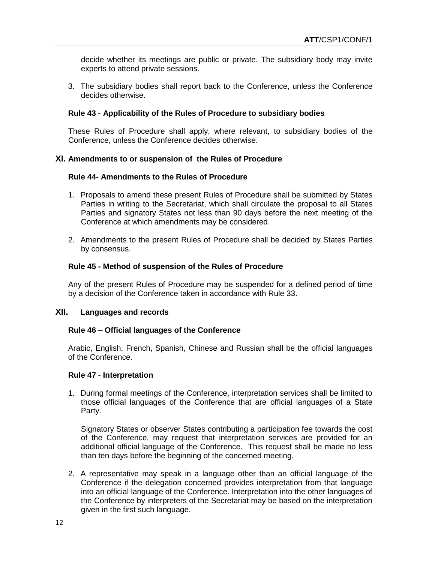decide whether its meetings are public or private. The subsidiary body may invite experts to attend private sessions.

3. The subsidiary bodies shall report back to the Conference, unless the Conference decides otherwise.

## **Rule 43 - Applicability of the Rules of Procedure to subsidiary bodies**

These Rules of Procedure shall apply, where relevant, to subsidiary bodies of the Conference, unless the Conference decides otherwise.

#### **XI. Amendments to or suspension of the Rules of Procedure**

#### **Rule 44- Amendments to the Rules of Procedure**

- 1. Proposals to amend these present Rules of Procedure shall be submitted by States Parties in writing to the Secretariat, which shall circulate the proposal to all States Parties and signatory States not less than 90 days before the next meeting of the Conference at which amendments may be considered.
- 2. Amendments to the present Rules of Procedure shall be decided by States Parties by consensus.

#### **Rule 45 - Method of suspension of the Rules of Procedure**

Any of the present Rules of Procedure may be suspended for a defined period of time by a decision of the Conference taken in accordance with Rule 33.

### **XII. Languages and records**

#### **Rule 46 – Official languages of the Conference**

Arabic, English, French, Spanish, Chinese and Russian shall be the official languages of the Conference.

#### **Rule 47 - Interpretation**

1. During formal meetings of the Conference, interpretation services shall be limited to those official languages of the Conference that are official languages of a State Party.

Signatory States or observer States contributing a participation fee towards the cost of the Conference, may request that interpretation services are provided for an additional official language of the Conference. This request shall be made no less than ten days before the beginning of the concerned meeting.

2. A representative may speak in a language other than an official language of the Conference if the delegation concerned provides interpretation from that language into an official language of the Conference. Interpretation into the other languages of the Conference by interpreters of the Secretariat may be based on the interpretation given in the first such language.